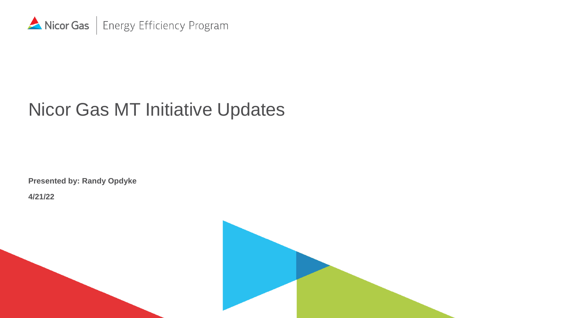

## Nicor Gas MT Initiative Updates

**Presented by: Randy Opdyke**

**4/21/22**

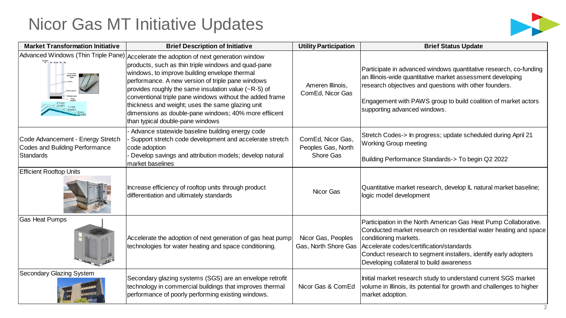## Nicor Gas MT Initiative Updates



| <b>Market Transformation Initiative</b>                                          | <b>Brief Description of Initiative</b>                                                                                                                                                                                                                                                                                                                                                                                                                                                                                     | <b>Utility Participation</b>                         | <b>Brief Status Update</b>                                                                                                                                                                                                                                                                                               |  |
|----------------------------------------------------------------------------------|----------------------------------------------------------------------------------------------------------------------------------------------------------------------------------------------------------------------------------------------------------------------------------------------------------------------------------------------------------------------------------------------------------------------------------------------------------------------------------------------------------------------------|------------------------------------------------------|--------------------------------------------------------------------------------------------------------------------------------------------------------------------------------------------------------------------------------------------------------------------------------------------------------------------------|--|
|                                                                                  | Advanced Windows (Thin Triple Pane) Accelerate the adoption of next generation window<br>products, such as thin triple windows and quad-pane<br>windows, to improve building envelope thermal<br>performance. A new version of triple pane windows<br>provides roughly the same insulation value ( $R$ -5) of<br>conventional triple pane windows without the added frame<br>thickness and weight; uses the same glazing unit<br>dimensions as double-pane windows; 40% more effiicent<br>than typical double-pane windows | Ameren Illinois,<br>ComEd, Nicor Gas                 | Participate in advanced windows quantitative research, co-funding<br>an Illinois-wide quantitative market assessment developing<br>research objectives and questions with other founders.<br>Engagement with PAWS group to build coalition of market actors<br>supporting advanced windows.                              |  |
| Code Advancement - Energy Stretch<br>Codes and Building Performance<br>Standards | Advance statewide baseline building energy code<br>Support stretch code development and accelerate stretch<br>code adoption<br>Develop savings and attribution models; develop natural<br>market baselines                                                                                                                                                                                                                                                                                                                 | ComEd, Nicor Gas,<br>Peoples Gas, North<br>Shore Gas | Stretch Codes-> In progress; update scheduled during April 21<br><b>Working Group meeting</b><br>Building Performance Standards-> To begin Q2 2022                                                                                                                                                                       |  |
| <b>Efficient Rooftop Units</b>                                                   | Increase efficiency of rooftop units through product<br>differentiation and ultimately standards                                                                                                                                                                                                                                                                                                                                                                                                                           | Nicor Gas                                            | Quantitative market research, develop IL natural market baseline;<br>logic model development                                                                                                                                                                                                                             |  |
| <b>Gas Heat Pumps</b>                                                            | Accelerate the adoption of next generation of gas heat pump<br>technologies for water heating and space conditioning.                                                                                                                                                                                                                                                                                                                                                                                                      | Nicor Gas, Peoples<br>Gas, North Shore Gas           | Participation in the North American Gas Heat Pump Collaborative.<br>Conducted market research on residential water heating and space<br>conditioning markets.<br>Accelerate codes/certification/standards<br>Conduct research to segment installers, identify early adopters<br>Developing collateral to build awareness |  |
| Secondary Glazing System                                                         | Secondary glazing systems (SGS) are an envelope retrofit<br>technology in commercial buildings that improves thermal<br>performance of poorly performing existing windows.                                                                                                                                                                                                                                                                                                                                                 | Nicor Gas & ComEd                                    | Initial market research study to understand current SGS market<br>volume in Illinois, its potential for growth and challenges to higher<br>market adoption.                                                                                                                                                              |  |